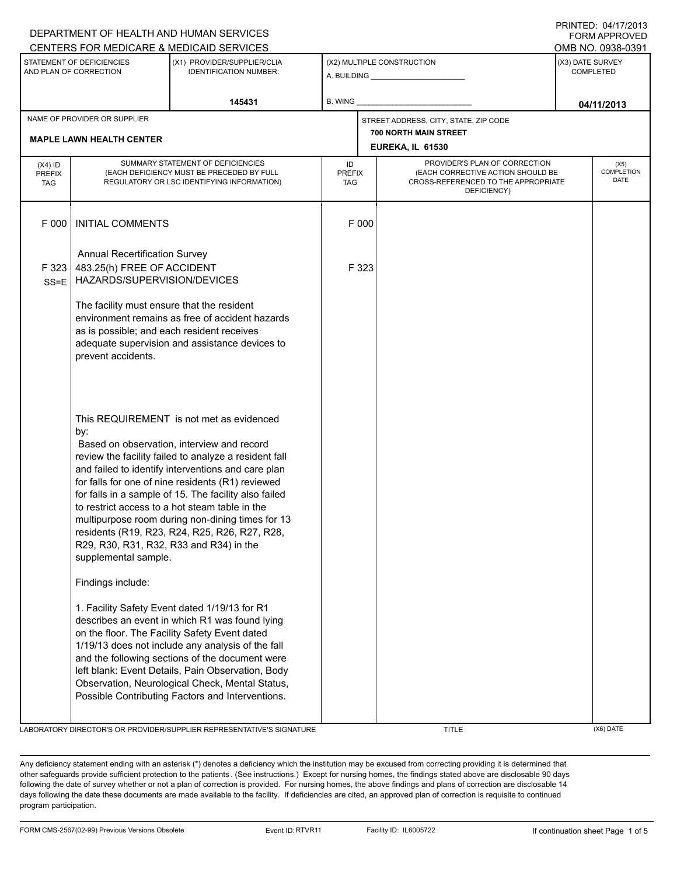| STATEMENT OF DEFICIENCIES<br>AND PLAN OF CORRECTION |                                                                                                                | (X1) PROVIDER/SUPPLIER/CLIA<br><b>IDENTIFICATION NUMBER:</b>                                                                                                                                                                                                                                                                                                                                                                                                               |                                   | (X2) MULTIPLE CONSTRUCTION                                                                                               | (X3) DATE SURVEY<br><b>COMPLETED</b> |
|-----------------------------------------------------|----------------------------------------------------------------------------------------------------------------|----------------------------------------------------------------------------------------------------------------------------------------------------------------------------------------------------------------------------------------------------------------------------------------------------------------------------------------------------------------------------------------------------------------------------------------------------------------------------|-----------------------------------|--------------------------------------------------------------------------------------------------------------------------|--------------------------------------|
|                                                     |                                                                                                                |                                                                                                                                                                                                                                                                                                                                                                                                                                                                            |                                   |                                                                                                                          |                                      |
|                                                     |                                                                                                                | 145431                                                                                                                                                                                                                                                                                                                                                                                                                                                                     | B. WING                           |                                                                                                                          | 04/11/2013                           |
|                                                     | NAME OF PROVIDER OR SUPPLIER<br><b>MAPLE LAWN HEALTH CENTER</b>                                                |                                                                                                                                                                                                                                                                                                                                                                                                                                                                            |                                   | STREET ADDRESS, CITY, STATE, ZIP CODE<br>700 NORTH MAIN STREET                                                           |                                      |
|                                                     |                                                                                                                |                                                                                                                                                                                                                                                                                                                                                                                                                                                                            |                                   | EUREKA, IL 61530                                                                                                         |                                      |
| $(X4)$ ID<br><b>PREFIX</b><br>TAG                   |                                                                                                                | SUMMARY STATEMENT OF DEFICIENCIES<br>(EACH DEFICIENCY MUST BE PRECEDED BY FULL<br>REGULATORY OR LSC IDENTIFYING INFORMATION)                                                                                                                                                                                                                                                                                                                                               | ID<br><b>PREFIX</b><br><b>TAG</b> | PROVIDER'S PLAN OF CORRECTION<br>(EACH CORRECTIVE ACTION SHOULD BE<br>CROSS-REFERENCED TO THE APPROPRIATE<br>DEFICIENCY) | (X5)<br>COMPLETION<br>DATE           |
| F 000                                               | <b>INITIAL COMMENTS</b>                                                                                        |                                                                                                                                                                                                                                                                                                                                                                                                                                                                            | F 000                             |                                                                                                                          |                                      |
| F 323<br>$SS = E$                                   | <b>Annual Recertification Survey</b><br>483.25(h) FREE OF ACCIDENT<br>HAZARDS/SUPERVISION/DEVICES              |                                                                                                                                                                                                                                                                                                                                                                                                                                                                            | F 323                             |                                                                                                                          |                                      |
|                                                     | The facility must ensure that the resident<br>as is possible; and each resident receives<br>prevent accidents. | environment remains as free of accident hazards<br>adequate supervision and assistance devices to                                                                                                                                                                                                                                                                                                                                                                          |                                   |                                                                                                                          |                                      |
|                                                     | by:<br>R29, R30, R31, R32, R33 and R34) in the<br>supplemental sample.                                         | This REQUIREMENT is not met as evidenced<br>Based on observation, interview and record<br>review the facility failed to analyze a resident fall<br>and failed to identify interventions and care plan<br>for falls for one of nine residents (R1) reviewed<br>for falls in a sample of 15. The facility also failed<br>to restrict access to a hot steam table in the<br>multipurpose room during non-dining times for 13<br>residents (R19, R23, R24, R25, R26, R27, R28, |                                   |                                                                                                                          |                                      |
|                                                     | Findings include:                                                                                              | 1. Facility Safety Event dated 1/19/13 for R1<br>describes an event in which R1 was found lying<br>on the floor. The Facility Safety Event dated<br>1/19/13 does not include any analysis of the fall<br>and the following sections of the document were<br>left blank: Event Details, Pain Observation, Body<br>Observation, Neurological Check, Mental Status,<br>Possible Contributing Factors and Interventions.                                                       |                                   |                                                                                                                          |                                      |

DEPARTMENT OF HEALTH AND HUMAN SERVICES

PRINTED: 04/17/2013 FORM APPROVED

Any deficiency statement ending with an asterisk (\*) denotes a deficiency which the institution may be excused from correcting providing it is determined that other safeguards provide sufficient protection to the patients . (See instructions.) Except for nursing homes, the findings stated above are disclosable 90 days following the date of survey whether or not a plan of correction is provided. For nursing homes, the above findings and plans of correction are disclosable 14 days following the date these documents are made available to the facility. If deficiencies are cited, an approved plan of correction is requisite to continued program participation.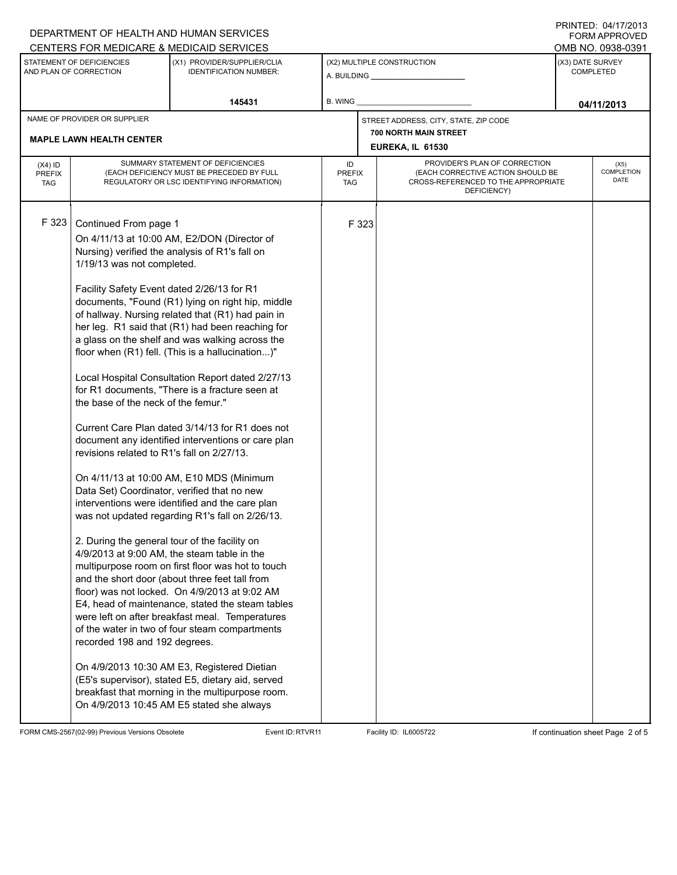## A. BUILDING **\_\_\_\_\_\_\_\_\_\_\_\_\_\_\_\_\_\_\_\_\_\_** (X1) PROVIDER/SUPPLIER/CLIA IDENTIFICATION NUMBER: STATEMENT OF DEFICIENCIES AND PLAN OF CORRECTION (X3) DATE SURVEY COMPLETED (X2) MULTIPLE CONSTRUCTION **B. WING** CENTERS FOR MEDICARE & MEDICAID SERVICES **And CENTERS FOR MEDICAL ACCESS** OMB NO. 0938-0391 **145431 04/11/2013 EUREKA, IL 61530** NAME OF PROVIDER OR SUPPLIER STREET ADDRESS, CITY, STATE, ZIP CODE **MAPLE LAWN HEALTH CENTER 700 NORTH MAIN STREET** PROVIDER'S PLAN OF CORRECTION (EACH CORRECTIVE ACTION SHOULD BE CROSS-REFERENCED TO THE APPROPRIATE DEFICIENCY) (X5) **COMPLETION** DATE ID PREFIX TAG (X4) ID PREFIX TAG SUMMARY STATEMENT OF DEFICIENCIES (EACH DEFICIENCY MUST BE PRECEDED BY FULL REGULATORY OR LSC IDENTIFYING INFORMATION) F 323 Continued From page 1 F 323 On 4/11/13 at 10:00 AM, E2/DON (Director of Nursing) verified the analysis of R1's fall on 1/19/13 was not completed. Facility Safety Event dated 2/26/13 for R1 documents, "Found (R1) lying on right hip, middle of hallway. Nursing related that (R1) had pain in her leg. R1 said that (R1) had been reaching for a glass on the shelf and was walking across the floor when (R1) fell. (This is a hallucination...)" Local Hospital Consultation Report dated 2/27/13 for R1 documents, "There is a fracture seen at the base of the neck of the femur." Current Care Plan dated 3/14/13 for R1 does not document any identified interventions or care plan revisions related to R1's fall on 2/27/13. On 4/11/13 at 10:00 AM, E10 MDS (Minimum Data Set) Coordinator, verified that no new interventions were identified and the care plan was not updated regarding R1's fall on 2/26/13. 2. During the general tour of the facility on 4/9/2013 at 9:00 AM, the steam table in the multipurpose room on first floor was hot to touch and the short door (about three feet tall from floor) was not locked. On 4/9/2013 at 9:02 AM E4, head of maintenance, stated the steam tables were left on after breakfast meal. Temperatures of the water in two of four steam compartments recorded 198 and 192 degrees. On 4/9/2013 10:30 AM E3, Registered Dietian (E5's supervisor), stated E5, dietary aid, served breakfast that morning in the multipurpose room. On 4/9/2013 10:45 AM E5 stated she always

FORM CMS-2567(02-99) Previous Versions Obsolete Event ID:RTVR11 Facility ID: IL6005722 If continuation sheet Page 2 of 5

DEPARTMENT OF HEALTH AND HUMAN SERVICES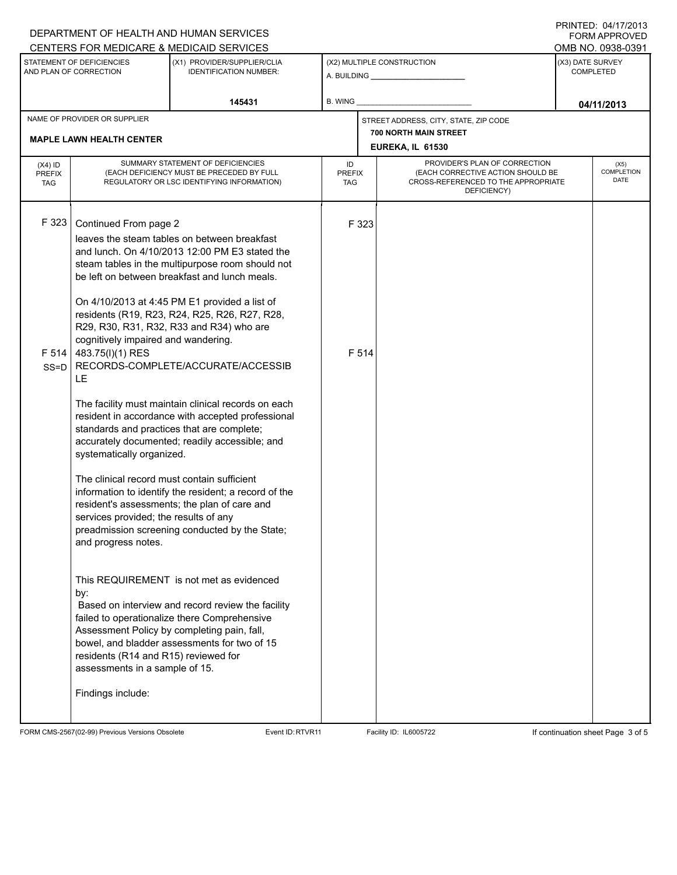|                                                     |                                                                                                                                                                                                                                                                                                                                                                                                                                                                                                                                                                                                                                                                                                                            | DEPARTMENT OF HEALTH AND HUMAN SERVICES<br>CENTERS FOR MEDICARE & MEDICAID SERVICES                                                                                                                                                                                                                                                                                                                     |                            |                            |                                                                                                                          |                                                           | <b>FORM APPROVED</b> |  |  |
|-----------------------------------------------------|----------------------------------------------------------------------------------------------------------------------------------------------------------------------------------------------------------------------------------------------------------------------------------------------------------------------------------------------------------------------------------------------------------------------------------------------------------------------------------------------------------------------------------------------------------------------------------------------------------------------------------------------------------------------------------------------------------------------------|---------------------------------------------------------------------------------------------------------------------------------------------------------------------------------------------------------------------------------------------------------------------------------------------------------------------------------------------------------------------------------------------------------|----------------------------|----------------------------|--------------------------------------------------------------------------------------------------------------------------|-----------------------------------------------------------|----------------------|--|--|
| STATEMENT OF DEFICIENCIES<br>AND PLAN OF CORRECTION |                                                                                                                                                                                                                                                                                                                                                                                                                                                                                                                                                                                                                                                                                                                            | (X1) PROVIDER/SUPPLIER/CLIA<br><b>IDENTIFICATION NUMBER:</b>                                                                                                                                                                                                                                                                                                                                            |                            | (X2) MULTIPLE CONSTRUCTION |                                                                                                                          | OMB NO. 0938-0391<br>(X3) DATE SURVEY<br><b>COMPLETED</b> |                      |  |  |
|                                                     |                                                                                                                                                                                                                                                                                                                                                                                                                                                                                                                                                                                                                                                                                                                            | 145431                                                                                                                                                                                                                                                                                                                                                                                                  | B. WING                    |                            |                                                                                                                          | 04/11/2013                                                |                      |  |  |
| NAME OF PROVIDER OR SUPPLIER                        |                                                                                                                                                                                                                                                                                                                                                                                                                                                                                                                                                                                                                                                                                                                            |                                                                                                                                                                                                                                                                                                                                                                                                         |                            |                            | STREET ADDRESS, CITY, STATE, ZIP CODE<br><b>700 NORTH MAIN STREET</b>                                                    |                                                           |                      |  |  |
|                                                     | <b>MAPLE LAWN HEALTH CENTER</b>                                                                                                                                                                                                                                                                                                                                                                                                                                                                                                                                                                                                                                                                                            |                                                                                                                                                                                                                                                                                                                                                                                                         |                            | EUREKA, IL 61530           |                                                                                                                          |                                                           |                      |  |  |
| $(X4)$ ID<br><b>PREFIX</b><br><b>TAG</b>            | SUMMARY STATEMENT OF DEFICIENCIES<br>(EACH DEFICIENCY MUST BE PRECEDED BY FULL<br>REGULATORY OR LSC IDENTIFYING INFORMATION)                                                                                                                                                                                                                                                                                                                                                                                                                                                                                                                                                                                               |                                                                                                                                                                                                                                                                                                                                                                                                         | ID<br><b>PREFIX</b><br>TAG |                            | PROVIDER'S PLAN OF CORRECTION<br>(EACH CORRECTIVE ACTION SHOULD BE<br>CROSS-REFERENCED TO THE APPROPRIATE<br>DEFICIENCY) | (X5)<br><b>COMPLETION</b><br><b>DATE</b>                  |                      |  |  |
| F 323<br>F 514<br>$SS = D$                          | Continued From page 2<br>leaves the steam tables on between breakfast<br>and lunch. On 4/10/2013 12:00 PM E3 stated the<br>steam tables in the multipurpose room should not<br>be left on between breakfast and lunch meals.<br>On 4/10/2013 at 4:45 PM E1 provided a list of<br>residents (R19, R23, R24, R25, R26, R27, R28,<br>R29, R30, R31, R32, R33 and R34) who are<br>cognitively impaired and wandering.<br>483.75(I)(1) RES<br>RECORDS-COMPLETE/ACCURATE/ACCESSIB<br>LE<br>The facility must maintain clinical records on each<br>resident in accordance with accepted professional<br>standards and practices that are complete;<br>accurately documented; readily accessible; and<br>systematically organized. |                                                                                                                                                                                                                                                                                                                                                                                                         |                            | F 323<br>F 514             |                                                                                                                          |                                                           |                      |  |  |
|                                                     | The clinical record must contain sufficient<br>services provided; the results of any<br>and progress notes.<br>by:<br>residents (R14 and R15) reviewed for<br>assessments in a sample of 15.<br>Findings include:                                                                                                                                                                                                                                                                                                                                                                                                                                                                                                          | information to identify the resident; a record of the<br>resident's assessments; the plan of care and<br>preadmission screening conducted by the State;<br>This REQUIREMENT is not met as evidenced<br>Based on interview and record review the facility<br>failed to operationalize there Comprehensive<br>Assessment Policy by completing pain, fall,<br>bowel, and bladder assessments for two of 15 |                            |                            |                                                                                                                          |                                                           |                      |  |  |

FORM CMS-2567(02-99) Previous Versions Obsolete Event ID:RTVR11 Facility ID: IL6005722 If continuation sheet Page 3 of 5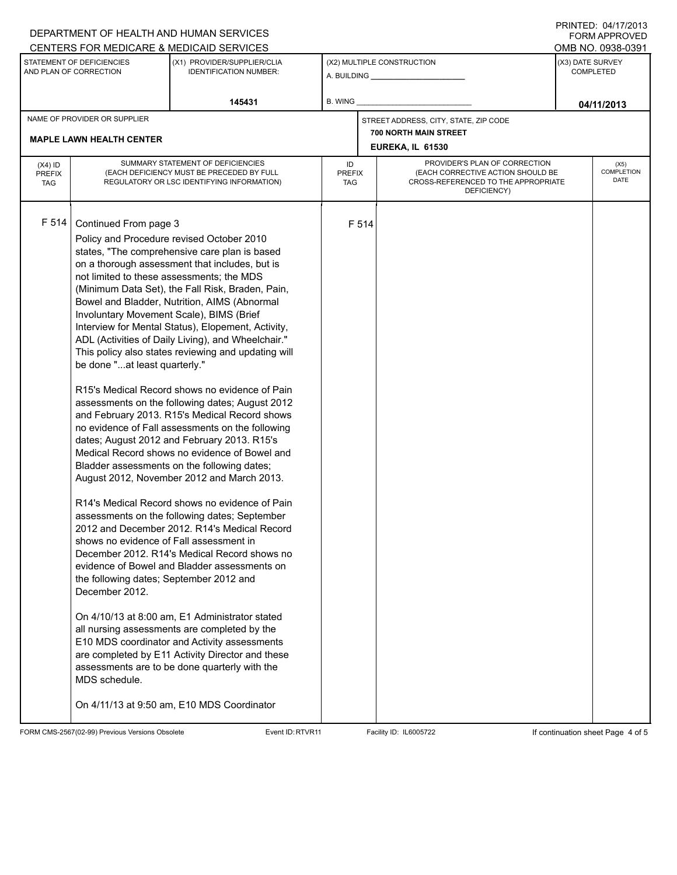|                                                     |                                                                                                                                                                                                                                                                          | DEPARTMENT OF HEALTH AND HUMAN SERVICES<br>CENTERS FOR MEDICARE & MEDICAID SERVICES                                                                                                                                                                                                                                                                                                                                                                                                                                                                                                                                                                                                                                                                                                                                                                                                                                                                                                                                                                                                                                                                                                                                                                                                                                                                                                |                                                  |                                                                                                                                                        |                                       |                                      | <b>FORM APPROVED</b><br>OMB NO. 0938-0391 |
|-----------------------------------------------------|--------------------------------------------------------------------------------------------------------------------------------------------------------------------------------------------------------------------------------------------------------------------------|------------------------------------------------------------------------------------------------------------------------------------------------------------------------------------------------------------------------------------------------------------------------------------------------------------------------------------------------------------------------------------------------------------------------------------------------------------------------------------------------------------------------------------------------------------------------------------------------------------------------------------------------------------------------------------------------------------------------------------------------------------------------------------------------------------------------------------------------------------------------------------------------------------------------------------------------------------------------------------------------------------------------------------------------------------------------------------------------------------------------------------------------------------------------------------------------------------------------------------------------------------------------------------------------------------------------------------------------------------------------------------|--------------------------------------------------|--------------------------------------------------------------------------------------------------------------------------------------------------------|---------------------------------------|--------------------------------------|-------------------------------------------|
| STATEMENT OF DEFICIENCIES<br>AND PLAN OF CORRECTION |                                                                                                                                                                                                                                                                          | (X1) PROVIDER/SUPPLIER/CLIA<br><b>IDENTIFICATION NUMBER:</b>                                                                                                                                                                                                                                                                                                                                                                                                                                                                                                                                                                                                                                                                                                                                                                                                                                                                                                                                                                                                                                                                                                                                                                                                                                                                                                                       |                                                  | (X2) MULTIPLE CONSTRUCTION<br>A. BUILDING A. BUILDING                                                                                                  |                                       | (X3) DATE SURVEY<br><b>COMPLETED</b> |                                           |
|                                                     |                                                                                                                                                                                                                                                                          | 145431                                                                                                                                                                                                                                                                                                                                                                                                                                                                                                                                                                                                                                                                                                                                                                                                                                                                                                                                                                                                                                                                                                                                                                                                                                                                                                                                                                             | B. WING                                          |                                                                                                                                                        |                                       | 04/11/2013                           |                                           |
| NAME OF PROVIDER OR SUPPLIER                        |                                                                                                                                                                                                                                                                          |                                                                                                                                                                                                                                                                                                                                                                                                                                                                                                                                                                                                                                                                                                                                                                                                                                                                                                                                                                                                                                                                                                                                                                                                                                                                                                                                                                                    |                                                  |                                                                                                                                                        | STREET ADDRESS, CITY, STATE, ZIP CODE |                                      |                                           |
|                                                     | <b>MAPLE LAWN HEALTH CENTER</b>                                                                                                                                                                                                                                          |                                                                                                                                                                                                                                                                                                                                                                                                                                                                                                                                                                                                                                                                                                                                                                                                                                                                                                                                                                                                                                                                                                                                                                                                                                                                                                                                                                                    | <b>700 NORTH MAIN STREET</b><br>EUREKA, IL 61530 |                                                                                                                                                        |                                       |                                      |                                           |
| $(X4)$ ID<br><b>PREFIX</b><br><b>TAG</b>            | SUMMARY STATEMENT OF DEFICIENCIES<br>(EACH DEFICIENCY MUST BE PRECEDED BY FULL<br>REGULATORY OR LSC IDENTIFYING INFORMATION)                                                                                                                                             |                                                                                                                                                                                                                                                                                                                                                                                                                                                                                                                                                                                                                                                                                                                                                                                                                                                                                                                                                                                                                                                                                                                                                                                                                                                                                                                                                                                    |                                                  | PROVIDER'S PLAN OF CORRECTION<br>ID<br>(EACH CORRECTIVE ACTION SHOULD BE<br><b>PREFIX</b><br>CROSS-REFERENCED TO THE APPROPRIATE<br>TAG<br>DEFICIENCY) |                                       |                                      | (X5)<br><b>COMPLETION</b><br>DATE         |
| F 514                                               | Continued From page 3<br>not limited to these assessments; the MDS<br>Involuntary Movement Scale), BIMS (Brief<br>be done "at least quarterly."<br>shows no evidence of Fall assessment in<br>the following dates; September 2012 and<br>December 2012.<br>MDS schedule. | Policy and Procedure revised October 2010<br>states, "The comprehensive care plan is based<br>on a thorough assessment that includes, but is<br>(Minimum Data Set), the Fall Risk, Braden, Pain,<br>Bowel and Bladder, Nutrition, AIMS (Abnormal<br>Interview for Mental Status), Elopement, Activity,<br>ADL (Activities of Daily Living), and Wheelchair."<br>This policy also states reviewing and updating will<br>R15's Medical Record shows no evidence of Pain<br>assessments on the following dates; August 2012<br>and February 2013. R15's Medical Record shows<br>no evidence of Fall assessments on the following<br>dates; August 2012 and February 2013. R15's<br>Medical Record shows no evidence of Bowel and<br>Bladder assessments on the following dates;<br>August 2012, November 2012 and March 2013.<br>R14's Medical Record shows no evidence of Pain<br>assessments on the following dates; September<br>2012 and December 2012. R14's Medical Record<br>December 2012. R14's Medical Record shows no<br>evidence of Bowel and Bladder assessments on<br>On 4/10/13 at 8:00 am, E1 Administrator stated<br>all nursing assessments are completed by the<br>E10 MDS coordinator and Activity assessments<br>are completed by E11 Activity Director and these<br>assessments are to be done quarterly with the<br>On 4/11/13 at 9:50 am, E10 MDS Coordinator |                                                  | F 514                                                                                                                                                  |                                       |                                      |                                           |

FORM CMS-2567(02-99) Previous Versions Obsolete Event ID:RTVR11 Facility ID: IL6005722 If continuation sheet Page 4 of 5

PRINTED: 04/17/2013